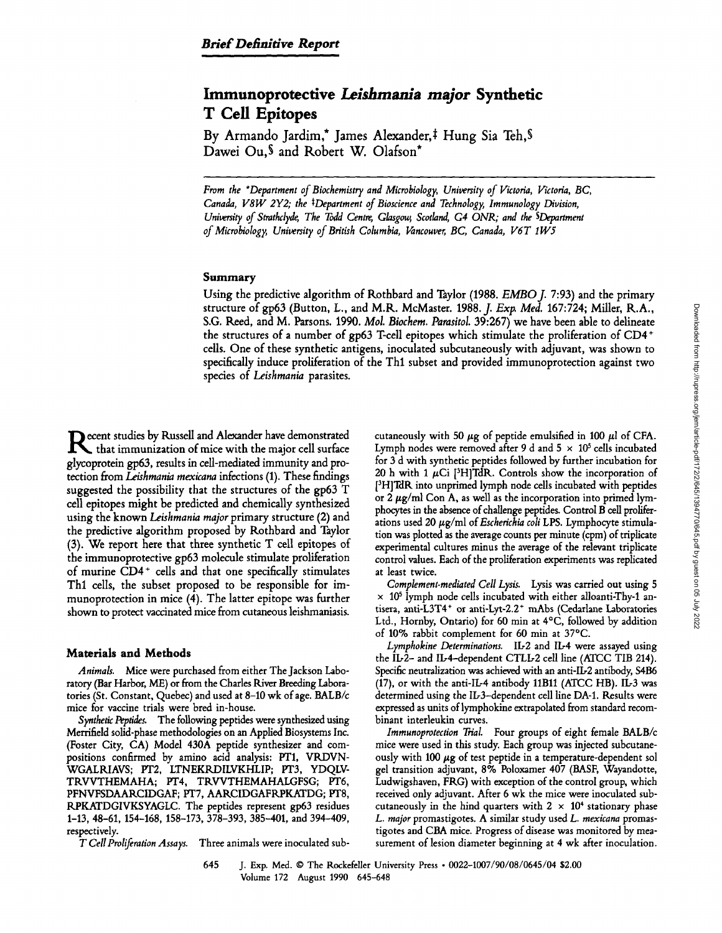# Immunoprotective Zeishmania major Synthetic T Cell Epitopes

By Armando Jardim,\* James Alexander,# Hung Sia Teh,§ Dawei Ou,<sup>§</sup> and Robert W. Olafson\*

From the 'Department of Biochemistry and Microbiology, University of Victoria, Victoria, BC, Canada,  $V8W$  2Y2; the  $\frac{1}{2}$ Department of Bioscience and Technology, Immunology Division, University of Strathclyde, The Todd Centre, Glasgow, Scotland, G4 ONR; and the §Department of Microbiology, University of British Columbia, Vancouver, BC, Canada, V6T IW5

# Summary

Using the predictive algorithm of Rothbard and Taylor (1988. EMBO J. 7:93) and the primary structure of gp63 (Button, L., and M.R. McMaster. 1988. J. Exp. Med. 167:724; Miller, R.A., S.G. Reed, and M. Parsons. 1990. Mol. Biochem. Parasitol. 39:267) we have been able to delineate the structures of <sup>a</sup> number of gp63 T-cell epitopes which stimulate the proliferation of CD4' cells . One of these synthetic antigens, inoculated subcutaneously with adjuvant, was shown to specifically induce proliferation of the Thl subset and provided immunoprotection against two species of Leishmania parasites.

 $\mathbf{R}^{\scriptscriptstyle{\textrm{e}}}_{\scriptscriptstyle{\textrm{glyco}}}$ ecent studies by Russell and Alexander have demonstrated that immunization of mice with the major cell surface glycoprotein gp63, results in cell-mediated immunity and protection from Leishmania mexicana infections (1). These findings suggested the possibility that the structures of the gp63 T cell epitopes might be predicted and chemically synthesized using the known Leishmania major primary structure (2) and the predictive algorithm proposed by Rothbard and Taylor (3) . We report here that three synthetic T cell epitopes of the immunoprotective gp63 molecule stimulate proliferation of murine CD4+ cells and that one specifically stimulates Thl cells, the subset proposed to be responsible for immunoprotection in mice (4). The latter epitope was further shown to protect vaccinated mice from cutaneous leishmaniasis.

#### Materials and Methods

Animals. Mice were purchased from either The Jackson Laboratory (Bar Harbor, ME) or from the Charles River Breeding laboratories (St. Constant, Quebec) and used at  $8-10$  wk of age. BALB/c mice for vaccine trials were bred in-house.

Synthetic Peptides. The following peptides were synthesized using Merrifield solid-phase methodologies on an Applied Biosystems Inc . (Foster City, CA) Model 430A peptide synthesizer and compositions confirmed by amino acid analysis: PT1, VRDVN-WGALRIAVS; PT2, LTNEKRDILVKHLIP; PT3, YDQLV TRVVTHEMAHA; PT4, TRVVTHEMAHALGFSG; PT6, PFNVFSDAARCIDGAF; PT7, AARCIDGAFRPKATDG; PT8, RPKATDGIVKSYAGLC. The peptides represent gp63 residues 1-13,48-61,154-168,158-173,378-393,385-401, and 394-409,

respectively.<br>T Cell Proliferation Assays. Three animals were inoculated subcutaneously with 50  $\mu$ g of peptide emulsified in 100  $\mu$ l of CFA. Lymph nodes were removed after 9 d and  $5 \times 10^5$  cells incubated for 3 d with synthetic peptides followed by further incubation for 20 h with 1  $\mu$ Ci [<sup>3</sup>H]TdR. Controls show the incorporation of [<sup>3</sup>H]TdR into unprimed lymph node cells incubated with peptides or  $2 \mu g/ml$  Con A, as well as the incorporation into primed lymphocytes in the absence of challenge peptides. Control B cell proliferations used 20  $\mu$ g/ml of *Escherichia coli* LPS. Lymphocyte stimulation was plotted as the average counts per minute (cpm) of triplicate experimental cultures minus the average of the relevant triplicate control values. Each of the proliferation experiments was replicated at least twice.

Complement-mediated Cell Lysis. Lysis was carried out using 5  $\times$  10<sup>5</sup> lymph node cells incubated with either alloanti-Thy-1 antisera, anti-L3T4' or anti-Lyt-2 .2' mAbs (Cedarlane Laboratories Ltd., Hornby, Ontario) for 60 min at 4°C, followed by addition of 10% rabbit complement for 60 min at 37°C.

Lymphokine Determinations. IL-2 and IL-4 were assayed using the IL2- and IL4-dependent CTLL2 cell line (ATCC TIB 214). Specific neutralization was achieved with an anti-IL-2 antibody, S4B6 (17), or with the anti-IL-4 antibody 11BIl (ATCC HB). 11,3 was determined using the IL3-dependent cell line DA-1. Results were expressed as units of lymphokine extrapolated from standard recombinant interleukin curves.

Immunoprotection Trial. Four groups of eight female BALB/c mice were used in this study. Each group was injected subcutaneously with  $100 \mu g$  of test peptide in a temperature-dependent sol gel transition adjuvant, 8% Poloxamer 407 (BASF, Wayandotte, Ludwigshaven, FRG) with exception of the control group, which received only adjuvant. After 6 wk the mice were inoculated subcutaneously in the hind quarters with  $2 \times 10^4$  stationary phase L. major promastigotes. A similar study used L. mexicana promastigotes and CBA mice. Progress of disease was monitored by measurement of lesion diameter beginning at 4 wk after inoculation.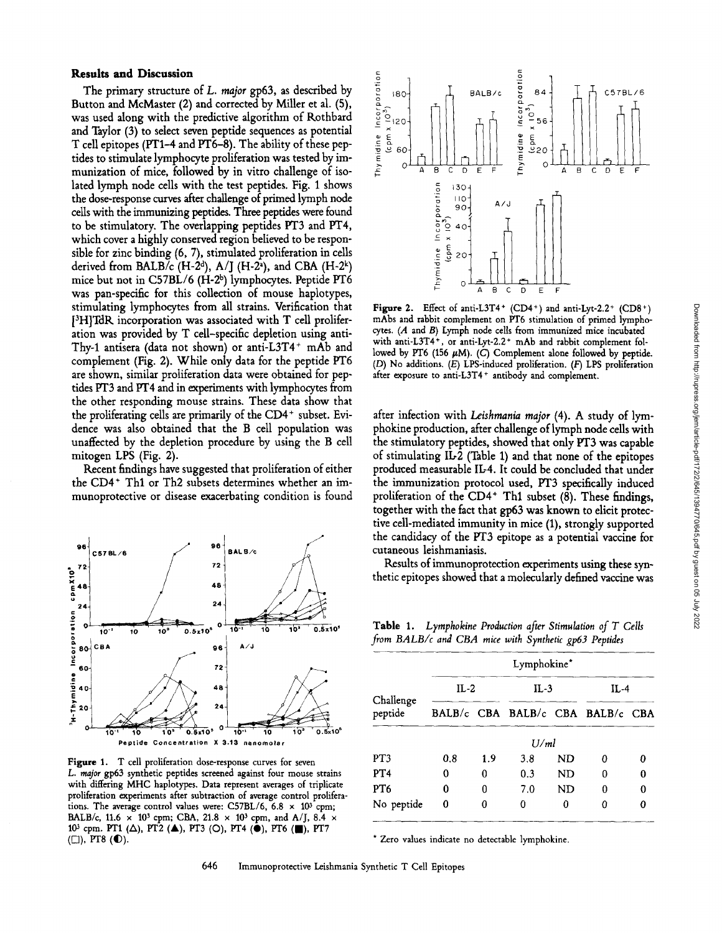## Results and Discussion

The primary structure of L. major gp63, as described by Button and McMaster (2) and corrected by Miller et al. (5), was used along with the predictive algorithm of Rothbard and Taylor (3) to select seven peptide sequences as potential T cell epitopes (PT1-4 and PT6-8). The ability of these peptides to stimulate lymphocyte proliferation was tested by immunization of mice, followed by in vitro challenge of isolated lymph node cells with the test peptides. Fig. 1 shows the dose-response curves after challenge of primed lymph node cells with the immunizing peptides. Three peptides were found to be stimulatory. The overlapping peptides PT3 and PT4, which cover a highly conserved region believed to be responsible for zinc binding (6, 7), stimulated proliferation in cells derived from BALB/c (H-2<sup>d</sup>), A/J (H-2<sup>a</sup>), and CBA (H-2<sup>k</sup>) mice but not in C57BL/6 (H-2b) lymphocytes. Peptide PT6 was pan-specific for this collection of mouse haplotypes, stimulating lymphocytes from all strains. Verification that <sup>j</sup> <sup>3</sup> H]TdR incorporation was associated with T cell proliferation was provided by T cell-specific depletion using anti-Thy-1 antisera (data not shown) or anti-L3T4<sup>+</sup> mAb and complement (Fig. 2). While only data for the peptide PT6 are shown, similar proliferation data were obtained for peptides PT3 and PT4 and in experiments with lymphocytes from the other responding mouse strains. These data show that the proliferating cells are primarily of the CD4+ subset. Evidence was also obtained that the B cell population was unaffected by the depletion procedure by using the B cell mitogen LPS (Fig. 2).

Recent findings have suggested that proliferation of either the CD4 \* Thl or Th2 subsets determines whether an immunoprotective or disease exacerbating condition is found



Figure 1. T cell proliferation dose-response curves for seven L. major gp63 synthetic peptides screened against four mouse strains with differing MHC haplotypes. Data represent averages of triplicate proliferation experiments after subtraction of average control proliferations. The average control values were: C57BL/6, 6.8  $\times$  10<sup>3</sup> cpm; BALB/c, 11.6  $\times$  10<sup>3</sup> cpm; CBA, 21.8  $\times$  10<sup>3</sup> cpm, and A/J, 8.4  $\times$ 10<sup>3</sup> cpm. PT1 ( $\Delta$ ), PT2 ( $\triangle$ ), PT3 (O), PT4 ( $\odot$ ), PT6 ( $\blacksquare$ ), PT7  $(\Box)$ , PT8  $(\mathbb{O})$ .

646



Figure 2. Effect of anti-L3T4<sup>+</sup> (CD4<sup>+</sup>) and anti-Lyt-2.2<sup>+</sup> (CD8<sup>+</sup>) mAbs and rabbit complement on PT6 stimulation of primed lymphocytes. (A and B) Lymph node cells from immunized mice incubated with anti-L3T4<sup>+</sup>, or anti-Lyt-2.2<sup>+</sup> mAb and rabbit complement followed by PT6 (156  $\mu$ M). (C) Complement alone followed by peptide. (D) No additions . (E) LPS-induced proliferation . (F) LPS proliferation after exposure to anti-L3T4<sup>+</sup> antibody and complement.

after infection with Leishmania major (4). A study of lymphokine production, after challenge of lymph node cells with the stimulatory peptides, showed that only PT3 was capable of stimulating IL-2 (Table 1) and that none of the epitopes produced measurable IL4. It could be concluded that under the immunization protocol used, PT3 specifically induced proliferation of the  $CD4^+$  Th1 subset (8). These findings, together with the fact that gp63 was known to elicit protective cell-mediated immunity in mice (1), strongly supported the candidacy of the PT3 epitope as a potential vaccine for cutaneous leishmaniasis .

Results of immunoprotection experiments using these synthetic epitopes showed that <sup>a</sup> molecularly defined vaccine was

Table 1. Lymphokine Production after Stimulation of T Cells from  $BALB/c$  and  $CBA$  mice with Synthetic gp63 Peptides

| Challenge<br>peptide | Lymphokine* |     |                                  |    |        |   |
|----------------------|-------------|-----|----------------------------------|----|--------|---|
|                      | $IL-2$      |     | $IL-3$                           |    | $IL-4$ |   |
|                      |             |     | BALB/c CBA BALB/c CBA BALB/c CBA |    |        |   |
|                      | U/ml        |     |                                  |    |        |   |
| PT3                  | 0.8         | 1.9 | 3.8                              | ND | 0      | Λ |
| PT4                  | 0           | 0   | 0.3                              | ND | 0      | 0 |
| PT <sub>6</sub>      | 0           | 0   | 7.0                              | ND | 0      | 0 |
| No peptide           | 0           | 0   | 0                                | 0  | 0      | Λ |

\* Zero values indicate no detectable lymphokine.

Immunoprotective Leishmania Synthetic T Cell Epitopes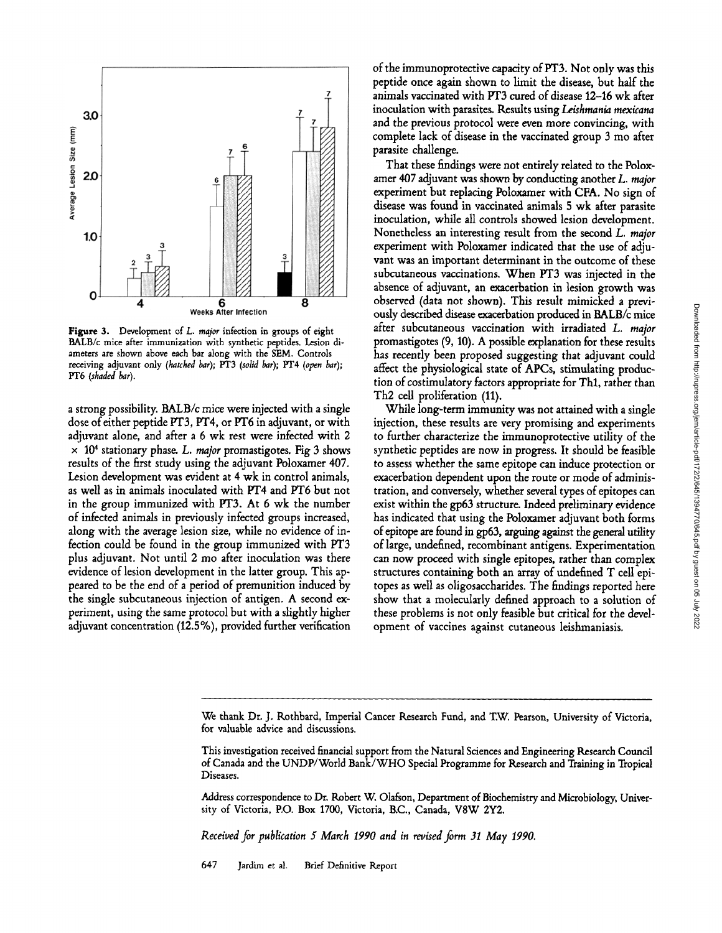

Figure 3. Development of L. major infection in groups of eight BALB/c mice after immunization with synthetic peptides. Lesion diameters are shown above each bar along with the SEM. Controls receiving adjuvant only (hatched bar); PT3 (solid bar); PT4 (open bar); PT6 (shaded bar).

a strong possibility. BALB/c mice were injected with a single dose of either peptide PT3, PT4, or PT6 in adjuvant, or with adjuvant alone, and after <sup>a</sup> <sup>6</sup> wk rest were infected with <sup>2</sup>  $\times$  10<sup>4</sup> stationary phase. L. major promastigotes. Fig 3 shows results of the first study using the adjuvant Poloxamer 407. Lesion development was evident at 4 wk in control animals, as well as in animals inoculated with PT4 and PT6 but not in the group immunized with PT3 . At 6 wk the number of infected animals in previously infected groups increased, along with the average lesion size, while no evidence of infection could be found in the group immunized with PT3 plus adjuvant. Not until 2 mo after inoculation was there evidence of lesion development in the latter group. This appeared to be the end of a period of premunition induced by the single subcutaneous injection of antigen. A second experiment, using the same protocol but with <sup>a</sup> slightly higher adjuvant concentration (12 .5%), provided further verification of the immunoprotective capacity of PT3. Not only was this peptide once again shown to limit the disease, but half the animals vaccinated with PT3 cured of disease 12-16 wk after inoculation with parasites. Results using Leishmania mexicana and the previous protocol were even more convincing, with complete lack of disease in the vaccinated group <sup>3</sup> mo after parasite challenge.

That these findings were not entirely related to the Poloxamer 407 adjuvant was shown by conducting another L. major experiment but replacing Poloxamer with CFA. No sign of disease was found in vaccinated animals <sup>5</sup> wk after parasite inoculation, while all controls showed lesion development. Nonetheless an interesting result from the second L. major experiment with Poloxamer indicated that the use of adjuvant was an important determinant in the outcome of these subcutaneous vaccinations. When PT3 was injected in the absence of adjuvant, an exacerbation in lesion growth was observed (data not shown). This result mimicked a previously described disease exacerbation produced in BALB/c mice after subcutaneous vaccination with irradiated L. major promastigotes (9, 10) . A possible explanation for these results has recently been proposed suggesting that adjuvant could affect the physiological state of APCs, stimulating production of costimulatory factors appropriate for Thl, rather than Th2 cell proliferation (11).

While long-term immunity was not attained with <sup>a</sup> single injection, these results are very promising and experiments to further characterize the immunoprotective utility of the synthetic peptides are now in progress. It should be feasible to assess whether the same epitope can induce protection or exacerbation dependent upon the route or mode of administration, and conversely, whether several types of epitopes can exist within the gp63 structure. Indeed preliminary evidence has indicated that using the Poloxamer adjuvant both forms ofepitope are found in gp63, arguing against the general utility of large, undefined, recombinant antigens. Experimentation can now proceed with single epitopes, rather than complex structures containing both an array of undefined T cell epitopes as well as oligosaccharides. The findings reported here show that <sup>a</sup> molecularly defined approach to <sup>a</sup> solution of these problems is not only feasible but critical for the development of vaccines against cutaneous leishmaniasis.

Received for publication 5 March 1990 and in revised form 31 May 1990.

647 Jardim et al . Brief Definitive Report

We thank Dr. J. Rothbard, Imperial Cancer Research Fund, and T.W. Pearson, University of Victoria, for valuable advice and discussions.

This investigation received financial support from the Natural Sciences and Engineering Research Council of Canada and the UNDP/World Bank/WHO Special Programme for Research and Training in Tropical Diseases.

Address correspondence to Dr. Robert W. Olafson, Department of Biochemistry and Microbiology, University of Victoria, P.O. Box 1700, Victoria, B.C ., Canada, V8W 2Y2.